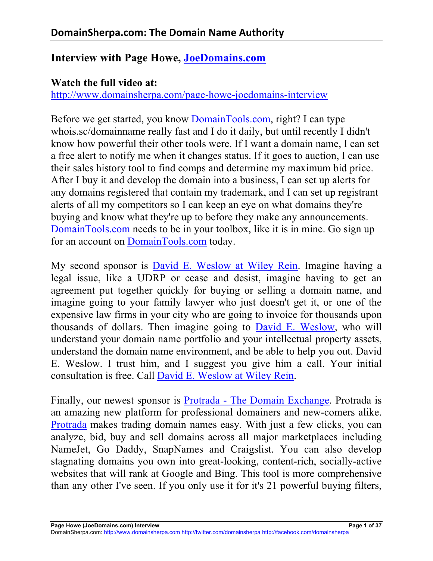## **Interview with Page Howe, JoeDomains.com**

## **Watch the full video at:**

http://www.domainsherpa.com/page-howe-joedomains-interview

Before we get started, you know DomainTools.com, right? I can type whois.sc/domainname really fast and I do it daily, but until recently I didn't know how powerful their other tools were. If I want a domain name, I can set a free alert to notify me when it changes status. If it goes to auction, I can use their sales history tool to find comps and determine my maximum bid price. After I buy it and develop the domain into a business, I can set up alerts for any domains registered that contain my trademark, and I can set up registrant alerts of all my competitors so I can keep an eye on what domains they're buying and know what they're up to before they make any announcements. DomainTools.com needs to be in your toolbox, like it is in mine. Go sign up for an account on DomainTools.com today.

My second sponsor is David E. Weslow at Wiley Rein. Imagine having a legal issue, like a UDRP or cease and desist, imagine having to get an agreement put together quickly for buying or selling a domain name, and imagine going to your family lawyer who just doesn't get it, or one of the expensive law firms in your city who are going to invoice for thousands upon thousands of dollars. Then imagine going to David E. Weslow, who will understand your domain name portfolio and your intellectual property assets, understand the domain name environment, and be able to help you out. David E. Weslow. I trust him, and I suggest you give him a call. Your initial consultation is free. Call David E. Weslow at Wiley Rein.

Finally, our newest sponsor is Protrada - The Domain Exchange. Protrada is an amazing new platform for professional domainers and new-comers alike. Protrada makes trading domain names easy. With just a few clicks, you can analyze, bid, buy and sell domains across all major marketplaces including NameJet, Go Daddy, SnapNames and Craigslist. You can also develop stagnating domains you own into great-looking, content-rich, socially-active websites that will rank at Google and Bing. This tool is more comprehensive than any other I've seen. If you only use it for it's 21 powerful buying filters,

DomainSherpa.com: http://www.domainsherpa.com http://twitter.com/domainsherpa http://facebook.com/domainsherpa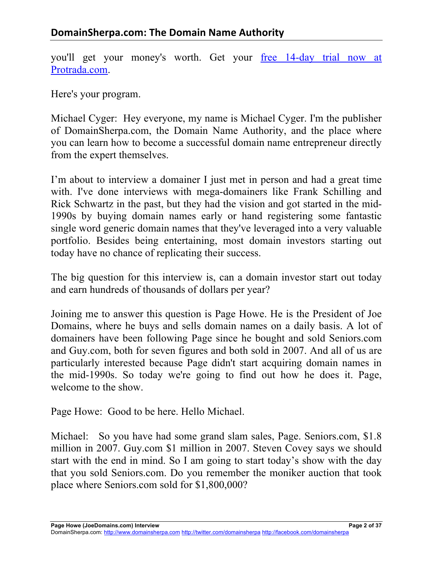you'll get your money's worth. Get your free 14-day trial now at Protrada.com.

Here's your program.

Michael Cyger: Hey everyone, my name is Michael Cyger. I'm the publisher of DomainSherpa.com, the Domain Name Authority, and the place where you can learn how to become a successful domain name entrepreneur directly from the expert themselves.

I'm about to interview a domainer I just met in person and had a great time with. I've done interviews with mega-domainers like Frank Schilling and Rick Schwartz in the past, but they had the vision and got started in the mid-1990s by buying domain names early or hand registering some fantastic single word generic domain names that they've leveraged into a very valuable portfolio. Besides being entertaining, most domain investors starting out today have no chance of replicating their success.

The big question for this interview is, can a domain investor start out today and earn hundreds of thousands of dollars per year?

Joining me to answer this question is Page Howe. He is the President of Joe Domains, where he buys and sells domain names on a daily basis. A lot of domainers have been following Page since he bought and sold Seniors.com and Guy.com, both for seven figures and both sold in 2007. And all of us are particularly interested because Page didn't start acquiring domain names in the mid-1990s. So today we're going to find out how he does it. Page, welcome to the show.

Page Howe: Good to be here. Hello Michael.

Michael: So you have had some grand slam sales, Page. Seniors.com, \$1.8 million in 2007. Guy.com \$1 million in 2007. Steven Covey says we should start with the end in mind. So I am going to start today's show with the day that you sold Seniors.com. Do you remember the moniker auction that took place where Seniors.com sold for \$1,800,000?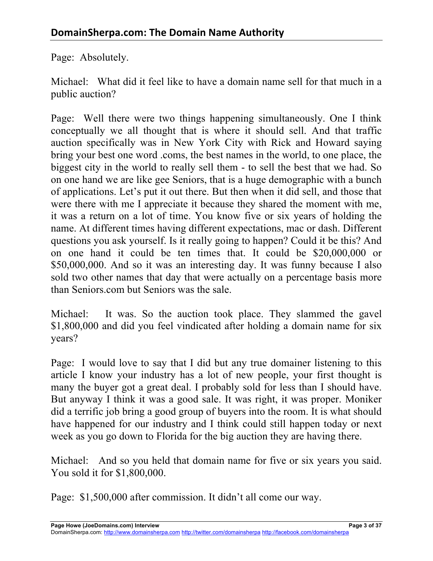Page: Absolutely.

Michael: What did it feel like to have a domain name sell for that much in a public auction?

Page: Well there were two things happening simultaneously. One I think conceptually we all thought that is where it should sell. And that traffic auction specifically was in New York City with Rick and Howard saying bring your best one word .coms, the best names in the world, to one place, the biggest city in the world to really sell them - to sell the best that we had. So on one hand we are like gee Seniors, that is a huge demographic with a bunch of applications. Let's put it out there. But then when it did sell, and those that were there with me I appreciate it because they shared the moment with me, it was a return on a lot of time. You know five or six years of holding the name. At different times having different expectations, mac or dash. Different questions you ask yourself. Is it really going to happen? Could it be this? And on one hand it could be ten times that. It could be \$20,000,000 or \$50,000,000. And so it was an interesting day. It was funny because I also sold two other names that day that were actually on a percentage basis more than Seniors.com but Seniors was the sale.

Michael: It was. So the auction took place. They slammed the gavel \$1,800,000 and did you feel vindicated after holding a domain name for six years?

Page: I would love to say that I did but any true domainer listening to this article I know your industry has a lot of new people, your first thought is many the buyer got a great deal. I probably sold for less than I should have. But anyway I think it was a good sale. It was right, it was proper. Moniker did a terrific job bring a good group of buyers into the room. It is what should have happened for our industry and I think could still happen today or next week as you go down to Florida for the big auction they are having there.

Michael: And so you held that domain name for five or six years you said. You sold it for \$1,800,000.

Page: \$1,500,000 after commission. It didn't all come our way.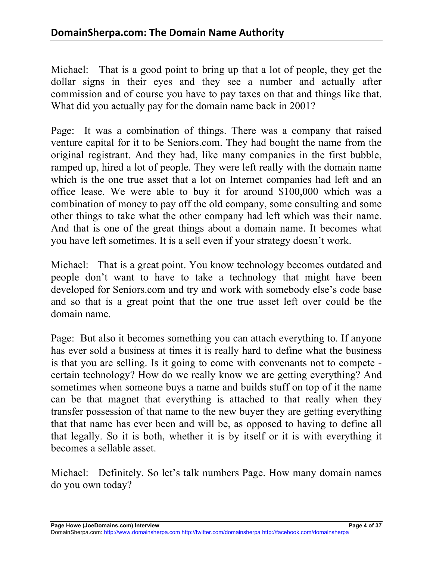Michael: That is a good point to bring up that a lot of people, they get the dollar signs in their eyes and they see a number and actually after commission and of course you have to pay taxes on that and things like that. What did you actually pay for the domain name back in 2001?

Page: It was a combination of things. There was a company that raised venture capital for it to be Seniors.com. They had bought the name from the original registrant. And they had, like many companies in the first bubble, ramped up, hired a lot of people. They were left really with the domain name which is the one true asset that a lot on Internet companies had left and an office lease. We were able to buy it for around \$100,000 which was a combination of money to pay off the old company, some consulting and some other things to take what the other company had left which was their name. And that is one of the great things about a domain name. It becomes what you have left sometimes. It is a sell even if your strategy doesn't work.

Michael: That is a great point. You know technology becomes outdated and people don't want to have to take a technology that might have been developed for Seniors.com and try and work with somebody else's code base and so that is a great point that the one true asset left over could be the domain name.

Page: But also it becomes something you can attach everything to. If anyone has ever sold a business at times it is really hard to define what the business is that you are selling. Is it going to come with convenants not to compete certain technology? How do we really know we are getting everything? And sometimes when someone buys a name and builds stuff on top of it the name can be that magnet that everything is attached to that really when they transfer possession of that name to the new buyer they are getting everything that that name has ever been and will be, as opposed to having to define all that legally. So it is both, whether it is by itself or it is with everything it becomes a sellable asset.

Michael: Definitely. So let's talk numbers Page. How many domain names do you own today?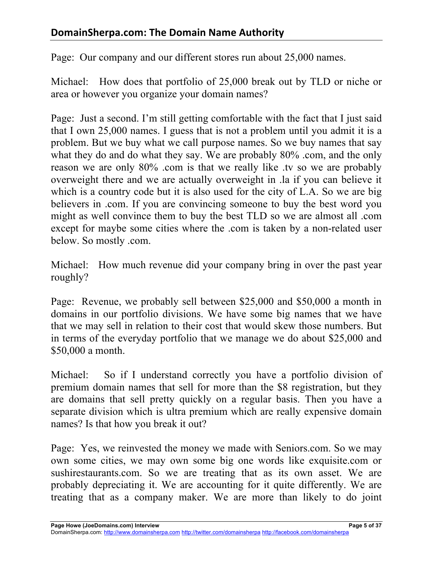Page: Our company and our different stores run about 25,000 names.

Michael: How does that portfolio of 25,000 break out by TLD or niche or area or however you organize your domain names?

Page: Just a second. I'm still getting comfortable with the fact that I just said that I own 25,000 names. I guess that is not a problem until you admit it is a problem. But we buy what we call purpose names. So we buy names that say what they do and do what they say. We are probably 80% .com, and the only reason we are only 80% .com is that we really like .ty so we are probably overweight there and we are actually overweight in .la if you can believe it which is a country code but it is also used for the city of L.A. So we are big believers in .com. If you are convincing someone to buy the best word you might as well convince them to buy the best TLD so we are almost all .com except for maybe some cities where the .com is taken by a non-related user below. So mostly .com.

Michael: How much revenue did your company bring in over the past year roughly?

Page: Revenue, we probably sell between \$25,000 and \$50,000 a month in domains in our portfolio divisions. We have some big names that we have that we may sell in relation to their cost that would skew those numbers. But in terms of the everyday portfolio that we manage we do about \$25,000 and \$50,000 a month.

Michael: So if I understand correctly you have a portfolio division of premium domain names that sell for more than the \$8 registration, but they are domains that sell pretty quickly on a regular basis. Then you have a separate division which is ultra premium which are really expensive domain names? Is that how you break it out?

Page: Yes, we reinvested the money we made with Seniors.com. So we may own some cities, we may own some big one words like exquisite.com or sushirestaurants.com. So we are treating that as its own asset. We are probably depreciating it. We are accounting for it quite differently. We are treating that as a company maker. We are more than likely to do joint

**Page Howe (JoeDomains.com) Interview Page 5 of 37**

DomainSherpa.com: http://www.domainsherpa.com http://twitter.com/domainsherpa http://facebook.com/domainsherpa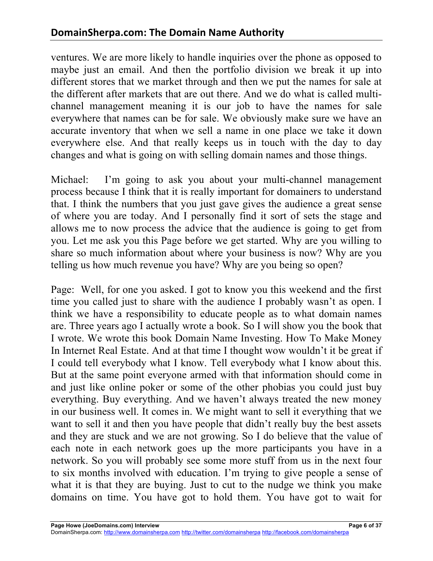ventures. We are more likely to handle inquiries over the phone as opposed to maybe just an email. And then the portfolio division we break it up into different stores that we market through and then we put the names for sale at the different after markets that are out there. And we do what is called multichannel management meaning it is our job to have the names for sale everywhere that names can be for sale. We obviously make sure we have an accurate inventory that when we sell a name in one place we take it down everywhere else. And that really keeps us in touch with the day to day changes and what is going on with selling domain names and those things.

Michael: I'm going to ask you about your multi-channel management process because I think that it is really important for domainers to understand that. I think the numbers that you just gave gives the audience a great sense of where you are today. And I personally find it sort of sets the stage and allows me to now process the advice that the audience is going to get from you. Let me ask you this Page before we get started. Why are you willing to share so much information about where your business is now? Why are you telling us how much revenue you have? Why are you being so open?

Page: Well, for one you asked. I got to know you this weekend and the first time you called just to share with the audience I probably wasn't as open. I think we have a responsibility to educate people as to what domain names are. Three years ago I actually wrote a book. So I will show you the book that I wrote. We wrote this book Domain Name Investing. How To Make Money In Internet Real Estate. And at that time I thought wow wouldn't it be great if I could tell everybody what I know. Tell everybody what I know about this. But at the same point everyone armed with that information should come in and just like online poker or some of the other phobias you could just buy everything. Buy everything. And we haven't always treated the new money in our business well. It comes in. We might want to sell it everything that we want to sell it and then you have people that didn't really buy the best assets and they are stuck and we are not growing. So I do believe that the value of each note in each network goes up the more participants you have in a network. So you will probably see some more stuff from us in the next four to six months involved with education. I'm trying to give people a sense of what it is that they are buying. Just to cut to the nudge we think you make domains on time. You have got to hold them. You have got to wait for

DomainSherpa.com: http://www.domainsherpa.com http://twitter.com/domainsherpa http://facebook.com/domainsherpa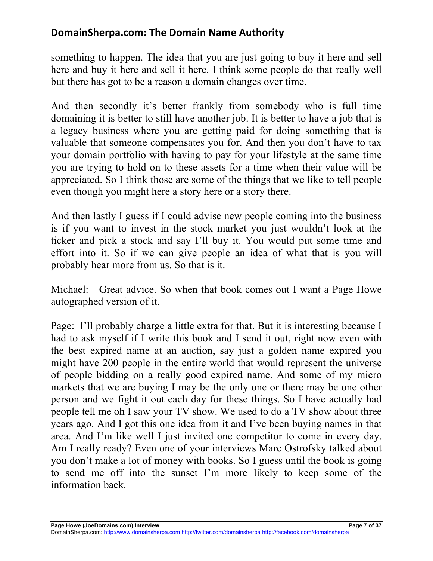something to happen. The idea that you are just going to buy it here and sell here and buy it here and sell it here. I think some people do that really well but there has got to be a reason a domain changes over time.

And then secondly it's better frankly from somebody who is full time domaining it is better to still have another job. It is better to have a job that is a legacy business where you are getting paid for doing something that is valuable that someone compensates you for. And then you don't have to tax your domain portfolio with having to pay for your lifestyle at the same time you are trying to hold on to these assets for a time when their value will be appreciated. So I think those are some of the things that we like to tell people even though you might here a story here or a story there.

And then lastly I guess if I could advise new people coming into the business is if you want to invest in the stock market you just wouldn't look at the ticker and pick a stock and say I'll buy it. You would put some time and effort into it. So if we can give people an idea of what that is you will probably hear more from us. So that is it.

Michael: Great advice. So when that book comes out I want a Page Howe autographed version of it.

Page: I'll probably charge a little extra for that. But it is interesting because I had to ask myself if I write this book and I send it out, right now even with the best expired name at an auction, say just a golden name expired you might have 200 people in the entire world that would represent the universe of people bidding on a really good expired name. And some of my micro markets that we are buying I may be the only one or there may be one other person and we fight it out each day for these things. So I have actually had people tell me oh I saw your TV show. We used to do a TV show about three years ago. And I got this one idea from it and I've been buying names in that area. And I'm like well I just invited one competitor to come in every day. Am I really ready? Even one of your interviews Marc Ostrofsky talked about you don't make a lot of money with books. So I guess until the book is going to send me off into the sunset I'm more likely to keep some of the information back.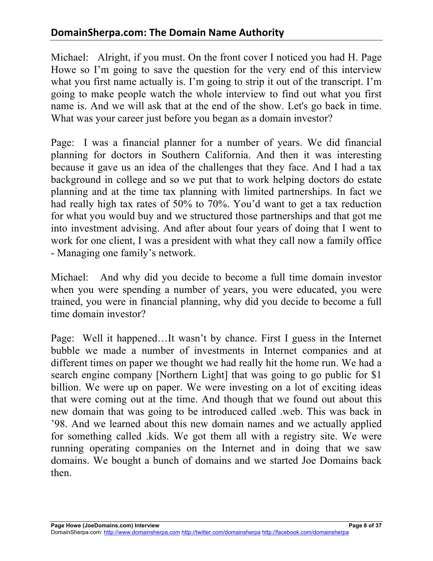Michael: Alright, if you must. On the front cover I noticed you had H. Page Howe so I'm going to save the question for the very end of this interview what you first name actually is. I'm going to strip it out of the transcript. I'm going to make people watch the whole interview to find out what you first name is. And we will ask that at the end of the show. Let's go back in time. What was your career just before you began as a domain investor?

Page: I was a financial planner for a number of years. We did financial planning for doctors in Southern California. And then it was interesting because it gave us an idea of the challenges that they face. And I had a tax background in college and so we put that to work helping doctors do estate planning and at the time tax planning with limited partnerships. In fact we had really high tax rates of 50% to 70%. You'd want to get a tax reduction for what you would buy and we structured those partnerships and that got me into investment advising. And after about four years of doing that I went to work for one client, I was a president with what they call now a family office - Managing one family's network.

Michael: And why did you decide to become a full time domain investor when you were spending a number of years, you were educated, you were trained, you were in financial planning, why did you decide to become a full time domain investor?

Page: Well it happened…It wasn't by chance. First I guess in the Internet bubble we made a number of investments in Internet companies and at different times on paper we thought we had really hit the home run. We had a search engine company [Northern Light] that was going to go public for \$1 billion. We were up on paper. We were investing on a lot of exciting ideas that were coming out at the time. And though that we found out about this new domain that was going to be introduced called .web. This was back in '98. And we learned about this new domain names and we actually applied for something called .kids. We got them all with a registry site. We were running operating companies on the Internet and in doing that we saw domains. We bought a bunch of domains and we started Joe Domains back then.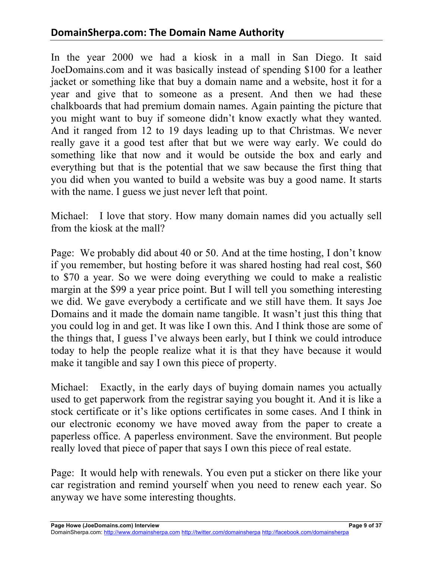## **DomainSherpa.com: The Domain Name Authority**

In the year 2000 we had a kiosk in a mall in San Diego. It said JoeDomains.com and it was basically instead of spending \$100 for a leather jacket or something like that buy a domain name and a website, host it for a year and give that to someone as a present. And then we had these chalkboards that had premium domain names. Again painting the picture that you might want to buy if someone didn't know exactly what they wanted. And it ranged from 12 to 19 days leading up to that Christmas. We never really gave it a good test after that but we were way early. We could do something like that now and it would be outside the box and early and everything but that is the potential that we saw because the first thing that you did when you wanted to build a website was buy a good name. It starts with the name. I guess we just never left that point.

Michael: I love that story. How many domain names did you actually sell from the kiosk at the mall?

Page: We probably did about 40 or 50. And at the time hosting, I don't know if you remember, but hosting before it was shared hosting had real cost, \$60 to \$70 a year. So we were doing everything we could to make a realistic margin at the \$99 a year price point. But I will tell you something interesting we did. We gave everybody a certificate and we still have them. It says Joe Domains and it made the domain name tangible. It wasn't just this thing that you could log in and get. It was like I own this. And I think those are some of the things that, I guess I've always been early, but I think we could introduce today to help the people realize what it is that they have because it would make it tangible and say I own this piece of property.

Michael: Exactly, in the early days of buying domain names you actually used to get paperwork from the registrar saying you bought it. And it is like a stock certificate or it's like options certificates in some cases. And I think in our electronic economy we have moved away from the paper to create a paperless office. A paperless environment. Save the environment. But people really loved that piece of paper that says I own this piece of real estate.

Page: It would help with renewals. You even put a sticker on there like your car registration and remind yourself when you need to renew each year. So anyway we have some interesting thoughts.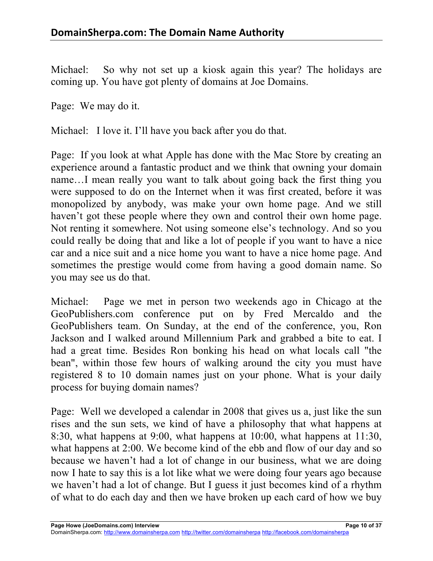Michael: So why not set up a kiosk again this year? The holidays are coming up. You have got plenty of domains at Joe Domains.

Page: We may do it.

Michael: I love it. I'll have you back after you do that.

Page: If you look at what Apple has done with the Mac Store by creating an experience around a fantastic product and we think that owning your domain name…I mean really you want to talk about going back the first thing you were supposed to do on the Internet when it was first created, before it was monopolized by anybody, was make your own home page. And we still haven't got these people where they own and control their own home page. Not renting it somewhere. Not using someone else's technology. And so you could really be doing that and like a lot of people if you want to have a nice car and a nice suit and a nice home you want to have a nice home page. And sometimes the prestige would come from having a good domain name. So you may see us do that.

Michael: Page we met in person two weekends ago in Chicago at the GeoPublishers.com conference put on by Fred Mercaldo and the GeoPublishers team. On Sunday, at the end of the conference, you, Ron Jackson and I walked around Millennium Park and grabbed a bite to eat. I had a great time. Besides Ron bonking his head on what locals call "the bean", within those few hours of walking around the city you must have registered 8 to 10 domain names just on your phone. What is your daily process for buying domain names?

Page: Well we developed a calendar in 2008 that gives us a, just like the sun rises and the sun sets, we kind of have a philosophy that what happens at 8:30, what happens at 9:00, what happens at 10:00, what happens at 11:30, what happens at 2:00. We become kind of the ebb and flow of our day and so because we haven't had a lot of change in our business, what we are doing now I hate to say this is a lot like what we were doing four years ago because we haven't had a lot of change. But I guess it just becomes kind of a rhythm of what to do each day and then we have broken up each card of how we buy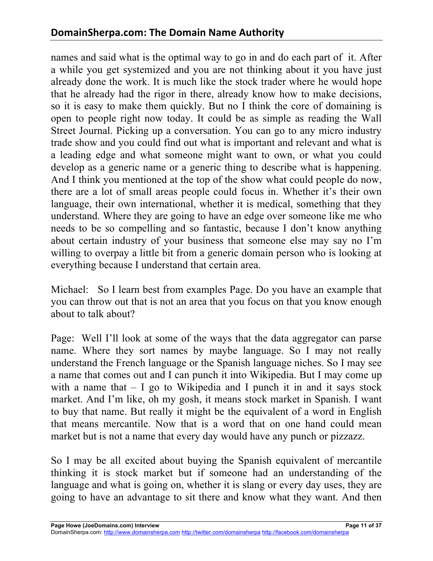names and said what is the optimal way to go in and do each part of it. After a while you get systemized and you are not thinking about it you have just already done the work. It is much like the stock trader where he would hope that he already had the rigor in there, already know how to make decisions, so it is easy to make them quickly. But no I think the core of domaining is open to people right now today. It could be as simple as reading the Wall Street Journal. Picking up a conversation. You can go to any micro industry trade show and you could find out what is important and relevant and what is a leading edge and what someone might want to own, or what you could develop as a generic name or a generic thing to describe what is happening. And I think you mentioned at the top of the show what could people do now, there are a lot of small areas people could focus in. Whether it's their own language, their own international, whether it is medical, something that they understand. Where they are going to have an edge over someone like me who needs to be so compelling and so fantastic, because I don't know anything about certain industry of your business that someone else may say no I'm willing to overpay a little bit from a generic domain person who is looking at everything because I understand that certain area.

Michael: So I learn best from examples Page. Do you have an example that you can throw out that is not an area that you focus on that you know enough about to talk about?

Page: Well I'll look at some of the ways that the data aggregator can parse name. Where they sort names by maybe language. So I may not really understand the French language or the Spanish language niches. So I may see a name that comes out and I can punch it into Wikipedia. But I may come up with a name that  $- I$  go to Wikipedia and I punch it in and it says stock market. And I'm like, oh my gosh, it means stock market in Spanish. I want to buy that name. But really it might be the equivalent of a word in English that means mercantile. Now that is a word that on one hand could mean market but is not a name that every day would have any punch or pizzazz.

So I may be all excited about buying the Spanish equivalent of mercantile thinking it is stock market but if someone had an understanding of the language and what is going on, whether it is slang or every day uses, they are going to have an advantage to sit there and know what they want. And then

**Page Howe (JoeDomains.com) Interview Page 11 of 37**

DomainSherpa.com: http://www.domainsherpa.com http://twitter.com/domainsherpa http://facebook.com/domainsherpa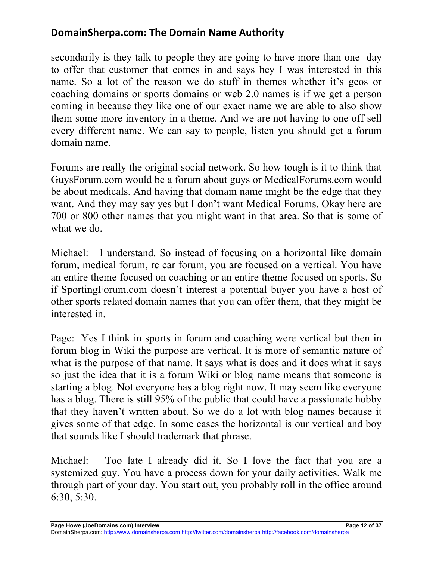secondarily is they talk to people they are going to have more than one day to offer that customer that comes in and says hey I was interested in this name. So a lot of the reason we do stuff in themes whether it's geos or coaching domains or sports domains or web 2.0 names is if we get a person coming in because they like one of our exact name we are able to also show them some more inventory in a theme. And we are not having to one off sell every different name. We can say to people, listen you should get a forum domain name.

Forums are really the original social network. So how tough is it to think that GuysForum.com would be a forum about guys or MedicalForums.com would be about medicals. And having that domain name might be the edge that they want. And they may say yes but I don't want Medical Forums. Okay here are 700 or 800 other names that you might want in that area. So that is some of what we do.

Michael: I understand. So instead of focusing on a horizontal like domain forum, medical forum, rc car forum, you are focused on a vertical. You have an entire theme focused on coaching or an entire theme focused on sports. So if SportingForum.com doesn't interest a potential buyer you have a host of other sports related domain names that you can offer them, that they might be interested in.

Page: Yes I think in sports in forum and coaching were vertical but then in forum blog in Wiki the purpose are vertical. It is more of semantic nature of what is the purpose of that name. It says what is does and it does what it says so just the idea that it is a forum Wiki or blog name means that someone is starting a blog. Not everyone has a blog right now. It may seem like everyone has a blog. There is still 95% of the public that could have a passionate hobby that they haven't written about. So we do a lot with blog names because it gives some of that edge. In some cases the horizontal is our vertical and boy that sounds like I should trademark that phrase.

Michael: Too late I already did it. So I love the fact that you are a systemized guy. You have a process down for your daily activities. Walk me through part of your day. You start out, you probably roll in the office around 6:30, 5:30.

**Page Howe (JoeDomains.com) Interview Page 12 of 37**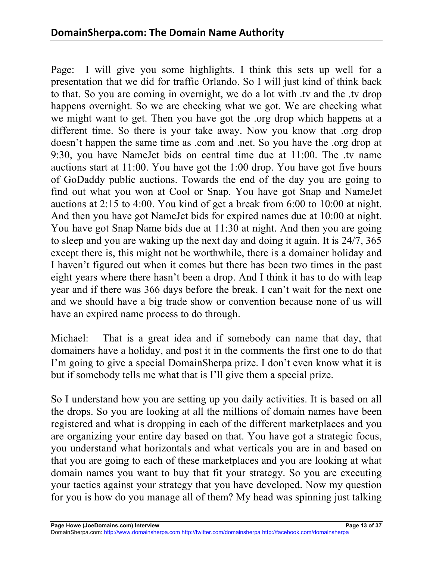Page: I will give you some highlights. I think this sets up well for a presentation that we did for traffic Orlando. So I will just kind of think back to that. So you are coming in overnight, we do a lot with .tv and the .tv drop happens overnight. So we are checking what we got. We are checking what we might want to get. Then you have got the .org drop which happens at a different time. So there is your take away. Now you know that .org drop doesn't happen the same time as .com and .net. So you have the .org drop at 9:30, you have NameJet bids on central time due at 11:00. The .tv name auctions start at 11:00. You have got the 1:00 drop. You have got five hours of GoDaddy public auctions. Towards the end of the day you are going to find out what you won at Cool or Snap. You have got Snap and NameJet auctions at 2:15 to 4:00. You kind of get a break from 6:00 to 10:00 at night. And then you have got NameJet bids for expired names due at 10:00 at night. You have got Snap Name bids due at 11:30 at night. And then you are going to sleep and you are waking up the next day and doing it again. It is 24/7, 365 except there is, this might not be worthwhile, there is a domainer holiday and I haven't figured out when it comes but there has been two times in the past eight years where there hasn't been a drop. And I think it has to do with leap year and if there was 366 days before the break. I can't wait for the next one and we should have a big trade show or convention because none of us will have an expired name process to do through.

Michael: That is a great idea and if somebody can name that day, that domainers have a holiday, and post it in the comments the first one to do that I'm going to give a special DomainSherpa prize. I don't even know what it is but if somebody tells me what that is I'll give them a special prize.

So I understand how you are setting up you daily activities. It is based on all the drops. So you are looking at all the millions of domain names have been registered and what is dropping in each of the different marketplaces and you are organizing your entire day based on that. You have got a strategic focus, you understand what horizontals and what verticals you are in and based on that you are going to each of these marketplaces and you are looking at what domain names you want to buy that fit your strategy. So you are executing your tactics against your strategy that you have developed. Now my question for you is how do you manage all of them? My head was spinning just talking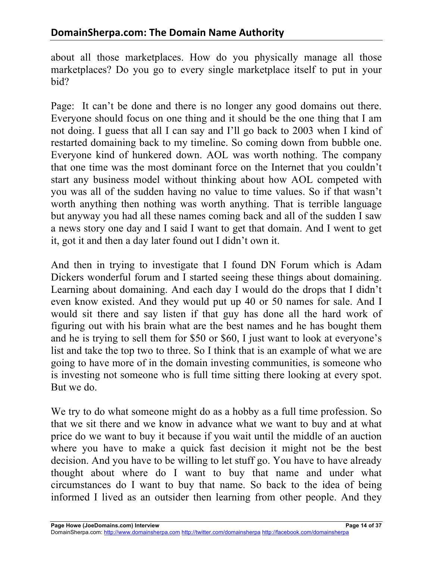about all those marketplaces. How do you physically manage all those marketplaces? Do you go to every single marketplace itself to put in your bid?

Page: It can't be done and there is no longer any good domains out there. Everyone should focus on one thing and it should be the one thing that I am not doing. I guess that all I can say and I'll go back to 2003 when I kind of restarted domaining back to my timeline. So coming down from bubble one. Everyone kind of hunkered down. AOL was worth nothing. The company that one time was the most dominant force on the Internet that you couldn't start any business model without thinking about how AOL competed with you was all of the sudden having no value to time values. So if that wasn't worth anything then nothing was worth anything. That is terrible language but anyway you had all these names coming back and all of the sudden I saw a news story one day and I said I want to get that domain. And I went to get it, got it and then a day later found out I didn't own it.

And then in trying to investigate that I found DN Forum which is Adam Dickers wonderful forum and I started seeing these things about domaining. Learning about domaining. And each day I would do the drops that I didn't even know existed. And they would put up 40 or 50 names for sale. And I would sit there and say listen if that guy has done all the hard work of figuring out with his brain what are the best names and he has bought them and he is trying to sell them for \$50 or \$60, I just want to look at everyone's list and take the top two to three. So I think that is an example of what we are going to have more of in the domain investing communities, is someone who is investing not someone who is full time sitting there looking at every spot. But we do.

We try to do what someone might do as a hobby as a full time profession. So that we sit there and we know in advance what we want to buy and at what price do we want to buy it because if you wait until the middle of an auction where you have to make a quick fast decision it might not be the best decision. And you have to be willing to let stuff go. You have to have already thought about where do I want to buy that name and under what circumstances do I want to buy that name. So back to the idea of being informed I lived as an outsider then learning from other people. And they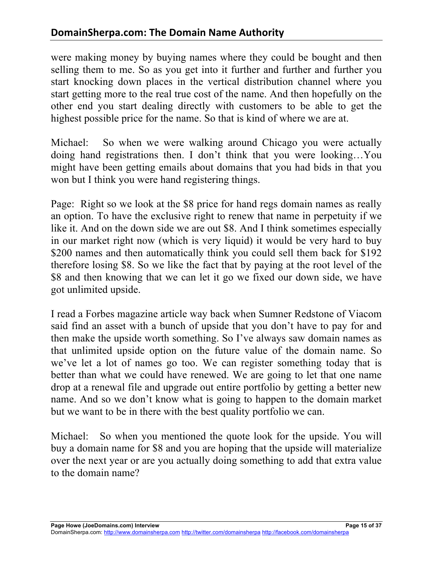were making money by buying names where they could be bought and then selling them to me. So as you get into it further and further and further you start knocking down places in the vertical distribution channel where you start getting more to the real true cost of the name. And then hopefully on the other end you start dealing directly with customers to be able to get the highest possible price for the name. So that is kind of where we are at.

Michael: So when we were walking around Chicago you were actually doing hand registrations then. I don't think that you were looking…You might have been getting emails about domains that you had bids in that you won but I think you were hand registering things.

Page: Right so we look at the \$8 price for hand regs domain names as really an option. To have the exclusive right to renew that name in perpetuity if we like it. And on the down side we are out \$8. And I think sometimes especially in our market right now (which is very liquid) it would be very hard to buy \$200 names and then automatically think you could sell them back for \$192 therefore losing \$8. So we like the fact that by paying at the root level of the \$8 and then knowing that we can let it go we fixed our down side, we have got unlimited upside.

I read a Forbes magazine article way back when Sumner Redstone of Viacom said find an asset with a bunch of upside that you don't have to pay for and then make the upside worth something. So I've always saw domain names as that unlimited upside option on the future value of the domain name. So we've let a lot of names go too. We can register something today that is better than what we could have renewed. We are going to let that one name drop at a renewal file and upgrade out entire portfolio by getting a better new name. And so we don't know what is going to happen to the domain market but we want to be in there with the best quality portfolio we can.

Michael: So when you mentioned the quote look for the upside. You will buy a domain name for \$8 and you are hoping that the upside will materialize over the next year or are you actually doing something to add that extra value to the domain name?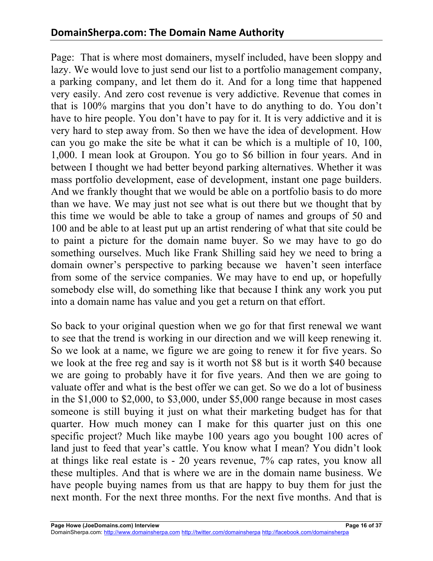Page: That is where most domainers, myself included, have been sloppy and lazy. We would love to just send our list to a portfolio management company, a parking company, and let them do it. And for a long time that happened very easily. And zero cost revenue is very addictive. Revenue that comes in that is 100% margins that you don't have to do anything to do. You don't have to hire people. You don't have to pay for it. It is very addictive and it is very hard to step away from. So then we have the idea of development. How can you go make the site be what it can be which is a multiple of 10, 100, 1,000. I mean look at Groupon. You go to \$6 billion in four years. And in between I thought we had better beyond parking alternatives. Whether it was mass portfolio development, ease of development, instant one page builders. And we frankly thought that we would be able on a portfolio basis to do more than we have. We may just not see what is out there but we thought that by this time we would be able to take a group of names and groups of 50 and 100 and be able to at least put up an artist rendering of what that site could be to paint a picture for the domain name buyer. So we may have to go do something ourselves. Much like Frank Shilling said hey we need to bring a domain owner's perspective to parking because we haven't seen interface from some of the service companies. We may have to end up, or hopefully somebody else will, do something like that because I think any work you put into a domain name has value and you get a return on that effort.

So back to your original question when we go for that first renewal we want to see that the trend is working in our direction and we will keep renewing it. So we look at a name, we figure we are going to renew it for five years. So we look at the free reg and say is it worth not \$8 but is it worth \$40 because we are going to probably have it for five years. And then we are going to valuate offer and what is the best offer we can get. So we do a lot of business in the \$1,000 to \$2,000, to \$3,000, under \$5,000 range because in most cases someone is still buying it just on what their marketing budget has for that quarter. How much money can I make for this quarter just on this one specific project? Much like maybe 100 years ago you bought 100 acres of land just to feed that year's cattle. You know what I mean? You didn't look at things like real estate is - 20 years revenue, 7% cap rates, you know all these multiples. And that is where we are in the domain name business. We have people buying names from us that are happy to buy them for just the next month. For the next three months. For the next five months. And that is

DomainSherpa.com: http://www.domainsherpa.com http://twitter.com/domainsherpa http://facebook.com/domainsherpa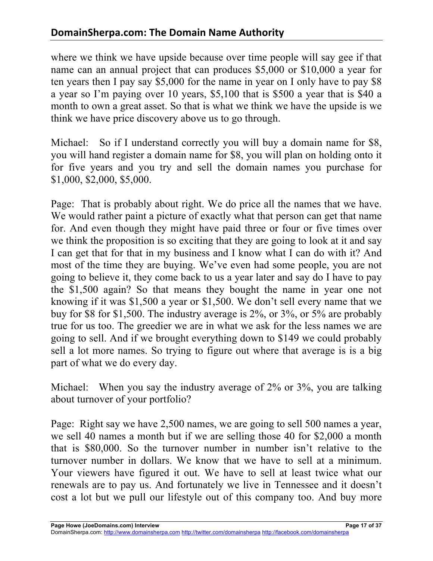where we think we have upside because over time people will say gee if that name can an annual project that can produces \$5,000 or \$10,000 a year for ten years then I pay say \$5,000 for the name in year on I only have to pay \$8 a year so I'm paying over 10 years, \$5,100 that is \$500 a year that is \$40 a month to own a great asset. So that is what we think we have the upside is we think we have price discovery above us to go through.

Michael: So if I understand correctly you will buy a domain name for \$8, you will hand register a domain name for \$8, you will plan on holding onto it for five years and you try and sell the domain names you purchase for \$1,000, \$2,000, \$5,000.

Page: That is probably about right. We do price all the names that we have. We would rather paint a picture of exactly what that person can get that name for. And even though they might have paid three or four or five times over we think the proposition is so exciting that they are going to look at it and say I can get that for that in my business and I know what I can do with it? And most of the time they are buying. We've even had some people, you are not going to believe it, they come back to us a year later and say do I have to pay the \$1,500 again? So that means they bought the name in year one not knowing if it was \$1,500 a year or \$1,500. We don't sell every name that we buy for \$8 for \$1,500. The industry average is 2%, or 3%, or 5% are probably true for us too. The greedier we are in what we ask for the less names we are going to sell. And if we brought everything down to \$149 we could probably sell a lot more names. So trying to figure out where that average is is a big part of what we do every day.

Michael: When you say the industry average of 2% or 3%, you are talking about turnover of your portfolio?

Page: Right say we have 2,500 names, we are going to sell 500 names a year, we sell 40 names a month but if we are selling those 40 for \$2,000 a month that is \$80,000. So the turnover number in number isn't relative to the turnover number in dollars. We know that we have to sell at a minimum. Your viewers have figured it out. We have to sell at least twice what our renewals are to pay us. And fortunately we live in Tennessee and it doesn't cost a lot but we pull our lifestyle out of this company too. And buy more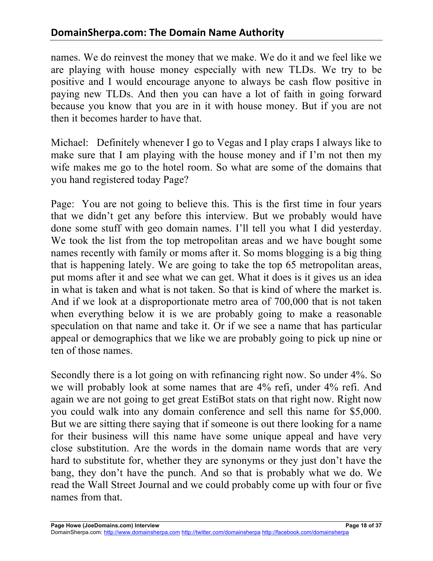names. We do reinvest the money that we make. We do it and we feel like we are playing with house money especially with new TLDs. We try to be positive and I would encourage anyone to always be cash flow positive in paying new TLDs. And then you can have a lot of faith in going forward because you know that you are in it with house money. But if you are not then it becomes harder to have that.

Michael: Definitely whenever I go to Vegas and I play craps I always like to make sure that I am playing with the house money and if I'm not then my wife makes me go to the hotel room. So what are some of the domains that you hand registered today Page?

Page: You are not going to believe this. This is the first time in four years that we didn't get any before this interview. But we probably would have done some stuff with geo domain names. I'll tell you what I did yesterday. We took the list from the top metropolitan areas and we have bought some names recently with family or moms after it. So moms blogging is a big thing that is happening lately. We are going to take the top 65 metropolitan areas, put moms after it and see what we can get. What it does is it gives us an idea in what is taken and what is not taken. So that is kind of where the market is. And if we look at a disproportionate metro area of 700,000 that is not taken when everything below it is we are probably going to make a reasonable speculation on that name and take it. Or if we see a name that has particular appeal or demographics that we like we are probably going to pick up nine or ten of those names.

Secondly there is a lot going on with refinancing right now. So under 4%. So we will probably look at some names that are 4% refi, under 4% refi. And again we are not going to get great EstiBot stats on that right now. Right now you could walk into any domain conference and sell this name for \$5,000. But we are sitting there saying that if someone is out there looking for a name for their business will this name have some unique appeal and have very close substitution. Are the words in the domain name words that are very hard to substitute for, whether they are synonyms or they just don't have the bang, they don't have the punch. And so that is probably what we do. We read the Wall Street Journal and we could probably come up with four or five names from that.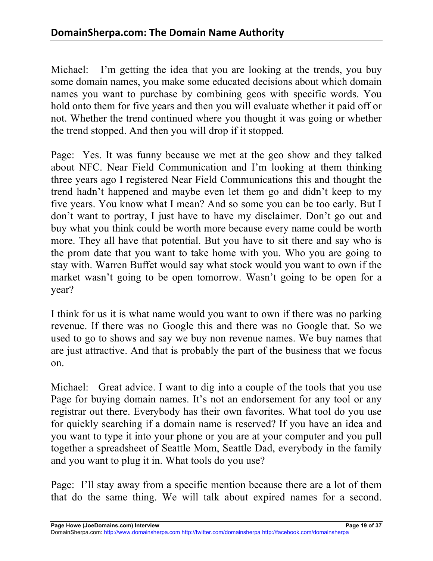Michael: I'm getting the idea that you are looking at the trends, you buy some domain names, you make some educated decisions about which domain names you want to purchase by combining geos with specific words. You hold onto them for five years and then you will evaluate whether it paid off or not. Whether the trend continued where you thought it was going or whether the trend stopped. And then you will drop if it stopped.

Page: Yes. It was funny because we met at the geo show and they talked about NFC. Near Field Communication and I'm looking at them thinking three years ago I registered Near Field Communications this and thought the trend hadn't happened and maybe even let them go and didn't keep to my five years. You know what I mean? And so some you can be too early. But I don't want to portray, I just have to have my disclaimer. Don't go out and buy what you think could be worth more because every name could be worth more. They all have that potential. But you have to sit there and say who is the prom date that you want to take home with you. Who you are going to stay with. Warren Buffet would say what stock would you want to own if the market wasn't going to be open tomorrow. Wasn't going to be open for a year?

I think for us it is what name would you want to own if there was no parking revenue. If there was no Google this and there was no Google that. So we used to go to shows and say we buy non revenue names. We buy names that are just attractive. And that is probably the part of the business that we focus on.

Michael: Great advice. I want to dig into a couple of the tools that you use Page for buying domain names. It's not an endorsement for any tool or any registrar out there. Everybody has their own favorites. What tool do you use for quickly searching if a domain name is reserved? If you have an idea and you want to type it into your phone or you are at your computer and you pull together a spreadsheet of Seattle Mom, Seattle Dad, everybody in the family and you want to plug it in. What tools do you use?

Page: I'll stay away from a specific mention because there are a lot of them that do the same thing. We will talk about expired names for a second.

**Page Howe (JoeDomains.com) Interview Page 19 of 37**

DomainSherpa.com: http://www.domainsherpa.com http://twitter.com/domainsherpa http://facebook.com/domainsherpa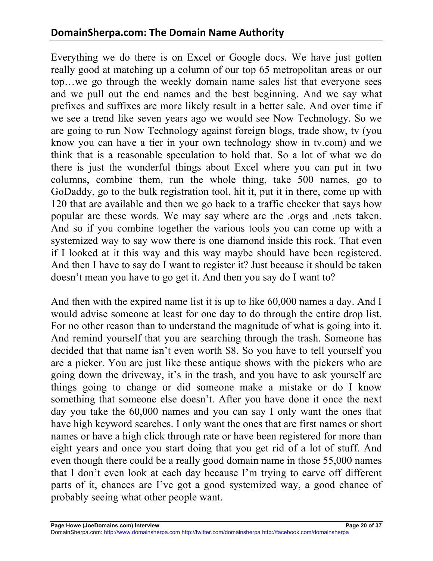Everything we do there is on Excel or Google docs. We have just gotten really good at matching up a column of our top 65 metropolitan areas or our top…we go through the weekly domain name sales list that everyone sees and we pull out the end names and the best beginning. And we say what prefixes and suffixes are more likely result in a better sale. And over time if we see a trend like seven years ago we would see Now Technology. So we are going to run Now Technology against foreign blogs, trade show, tv (you know you can have a tier in your own technology show in tv.com) and we think that is a reasonable speculation to hold that. So a lot of what we do there is just the wonderful things about Excel where you can put in two columns, combine them, run the whole thing, take 500 names, go to GoDaddy, go to the bulk registration tool, hit it, put it in there, come up with 120 that are available and then we go back to a traffic checker that says how popular are these words. We may say where are the .orgs and .nets taken. And so if you combine together the various tools you can come up with a systemized way to say wow there is one diamond inside this rock. That even if I looked at it this way and this way maybe should have been registered. And then I have to say do I want to register it? Just because it should be taken doesn't mean you have to go get it. And then you say do I want to?

And then with the expired name list it is up to like 60,000 names a day. And I would advise someone at least for one day to do through the entire drop list. For no other reason than to understand the magnitude of what is going into it. And remind yourself that you are searching through the trash. Someone has decided that that name isn't even worth \$8. So you have to tell yourself you are a picker. You are just like these antique shows with the pickers who are going down the driveway, it's in the trash, and you have to ask yourself are things going to change or did someone make a mistake or do I know something that someone else doesn't. After you have done it once the next day you take the 60,000 names and you can say I only want the ones that have high keyword searches. I only want the ones that are first names or short names or have a high click through rate or have been registered for more than eight years and once you start doing that you get rid of a lot of stuff. And even though there could be a really good domain name in those 55,000 names that I don't even look at each day because I'm trying to carve off different parts of it, chances are I've got a good systemized way, a good chance of probably seeing what other people want.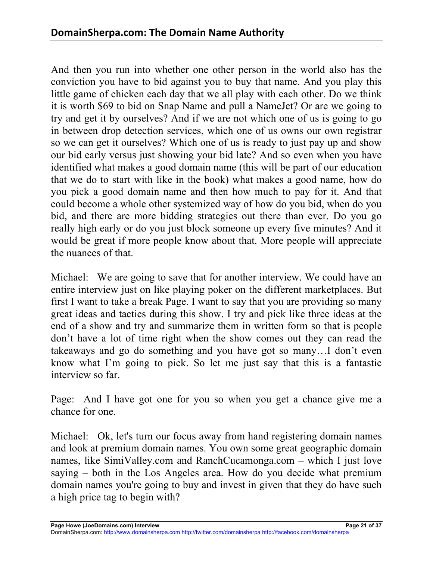And then you run into whether one other person in the world also has the conviction you have to bid against you to buy that name. And you play this little game of chicken each day that we all play with each other. Do we think it is worth \$69 to bid on Snap Name and pull a NameJet? Or are we going to try and get it by ourselves? And if we are not which one of us is going to go in between drop detection services, which one of us owns our own registrar so we can get it ourselves? Which one of us is ready to just pay up and show our bid early versus just showing your bid late? And so even when you have identified what makes a good domain name (this will be part of our education that we do to start with like in the book) what makes a good name, how do you pick a good domain name and then how much to pay for it. And that could become a whole other systemized way of how do you bid, when do you bid, and there are more bidding strategies out there than ever. Do you go really high early or do you just block someone up every five minutes? And it would be great if more people know about that. More people will appreciate the nuances of that.

Michael: We are going to save that for another interview. We could have an entire interview just on like playing poker on the different marketplaces. But first I want to take a break Page. I want to say that you are providing so many great ideas and tactics during this show. I try and pick like three ideas at the end of a show and try and summarize them in written form so that is people don't have a lot of time right when the show comes out they can read the takeaways and go do something and you have got so many…I don't even know what I'm going to pick. So let me just say that this is a fantastic interview so far.

Page: And I have got one for you so when you get a chance give me a chance for one.

Michael: Ok, let's turn our focus away from hand registering domain names and look at premium domain names. You own some great geographic domain names, like SimiValley.com and RanchCucamonga.com – which I just love saying – both in the Los Angeles area. How do you decide what premium domain names you're going to buy and invest in given that they do have such a high price tag to begin with?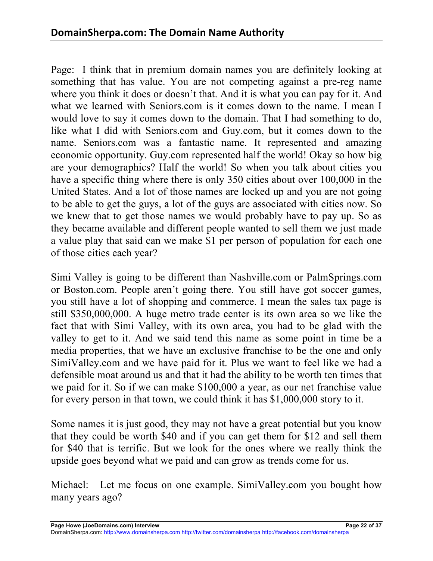Page: I think that in premium domain names you are definitely looking at something that has value. You are not competing against a pre-reg name where you think it does or doesn't that. And it is what you can pay for it. And what we learned with Seniors.com is it comes down to the name. I mean I would love to say it comes down to the domain. That I had something to do, like what I did with Seniors.com and Guy.com, but it comes down to the name. Seniors.com was a fantastic name. It represented and amazing economic opportunity. Guy.com represented half the world! Okay so how big are your demographics? Half the world! So when you talk about cities you have a specific thing where there is only 350 cities about over 100,000 in the United States. And a lot of those names are locked up and you are not going to be able to get the guys, a lot of the guys are associated with cities now. So we knew that to get those names we would probably have to pay up. So as they became available and different people wanted to sell them we just made a value play that said can we make \$1 per person of population for each one of those cities each year?

Simi Valley is going to be different than Nashville.com or PalmSprings.com or Boston.com. People aren't going there. You still have got soccer games, you still have a lot of shopping and commerce. I mean the sales tax page is still \$350,000,000. A huge metro trade center is its own area so we like the fact that with Simi Valley, with its own area, you had to be glad with the valley to get to it. And we said tend this name as some point in time be a media properties, that we have an exclusive franchise to be the one and only SimiValley.com and we have paid for it. Plus we want to feel like we had a defensible moat around us and that it had the ability to be worth ten times that we paid for it. So if we can make \$100,000 a year, as our net franchise value for every person in that town, we could think it has \$1,000,000 story to it.

Some names it is just good, they may not have a great potential but you know that they could be worth \$40 and if you can get them for \$12 and sell them for \$40 that is terrific. But we look for the ones where we really think the upside goes beyond what we paid and can grow as trends come for us.

Michael: Let me focus on one example. SimiValley.com you bought how many years ago?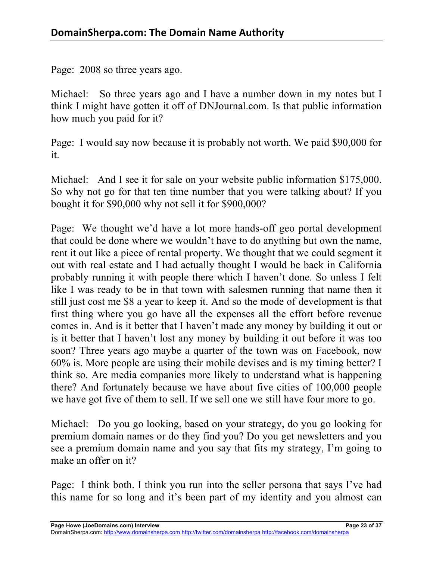Page: 2008 so three years ago.

Michael: So three years ago and I have a number down in my notes but I think I might have gotten it off of DNJournal.com. Is that public information how much you paid for it?

Page: I would say now because it is probably not worth. We paid \$90,000 for it.

Michael: And I see it for sale on your website public information \$175,000. So why not go for that ten time number that you were talking about? If you bought it for \$90,000 why not sell it for \$900,000?

Page: We thought we'd have a lot more hands-off geo portal development that could be done where we wouldn't have to do anything but own the name, rent it out like a piece of rental property. We thought that we could segment it out with real estate and I had actually thought I would be back in California probably running it with people there which I haven't done. So unless I felt like I was ready to be in that town with salesmen running that name then it still just cost me \$8 a year to keep it. And so the mode of development is that first thing where you go have all the expenses all the effort before revenue comes in. And is it better that I haven't made any money by building it out or is it better that I haven't lost any money by building it out before it was too soon? Three years ago maybe a quarter of the town was on Facebook, now 60% is. More people are using their mobile devises and is my timing better? I think so. Are media companies more likely to understand what is happening there? And fortunately because we have about five cities of 100,000 people we have got five of them to sell. If we sell one we still have four more to go.

Michael: Do you go looking, based on your strategy, do you go looking for premium domain names or do they find you? Do you get newsletters and you see a premium domain name and you say that fits my strategy, I'm going to make an offer on it?

Page: I think both. I think you run into the seller persona that says I've had this name for so long and it's been part of my identity and you almost can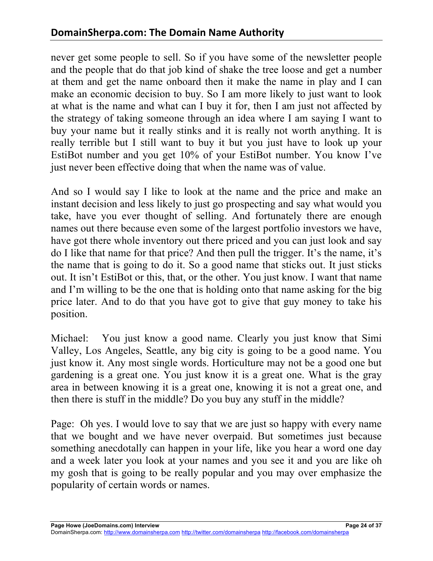never get some people to sell. So if you have some of the newsletter people and the people that do that job kind of shake the tree loose and get a number at them and get the name onboard then it make the name in play and I can make an economic decision to buy. So I am more likely to just want to look at what is the name and what can I buy it for, then I am just not affected by the strategy of taking someone through an idea where I am saying I want to buy your name but it really stinks and it is really not worth anything. It is really terrible but I still want to buy it but you just have to look up your EstiBot number and you get 10% of your EstiBot number. You know I've just never been effective doing that when the name was of value.

And so I would say I like to look at the name and the price and make an instant decision and less likely to just go prospecting and say what would you take, have you ever thought of selling. And fortunately there are enough names out there because even some of the largest portfolio investors we have, have got there whole inventory out there priced and you can just look and say do I like that name for that price? And then pull the trigger. It's the name, it's the name that is going to do it. So a good name that sticks out. It just sticks out. It isn't EstiBot or this, that, or the other. You just know. I want that name and I'm willing to be the one that is holding onto that name asking for the big price later. And to do that you have got to give that guy money to take his position.

Michael: You just know a good name. Clearly you just know that Simi Valley, Los Angeles, Seattle, any big city is going to be a good name. You just know it. Any most single words. Horticulture may not be a good one but gardening is a great one. You just know it is a great one. What is the gray area in between knowing it is a great one, knowing it is not a great one, and then there is stuff in the middle? Do you buy any stuff in the middle?

Page: Oh yes. I would love to say that we are just so happy with every name that we bought and we have never overpaid. But sometimes just because something anecdotally can happen in your life, like you hear a word one day and a week later you look at your names and you see it and you are like oh my gosh that is going to be really popular and you may over emphasize the popularity of certain words or names.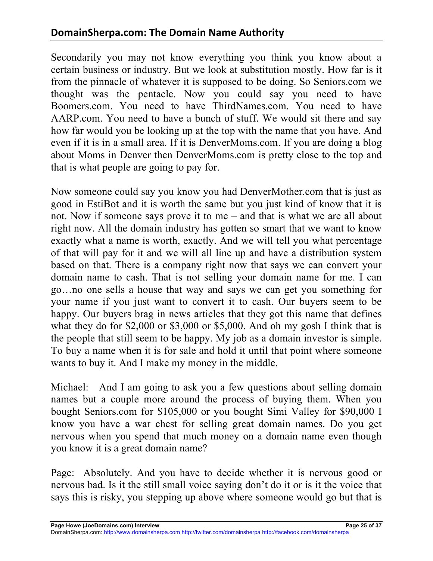Secondarily you may not know everything you think you know about a certain business or industry. But we look at substitution mostly. How far is it from the pinnacle of whatever it is supposed to be doing. So Seniors.com we thought was the pentacle. Now you could say you need to have Boomers.com. You need to have ThirdNames.com. You need to have AARP.com. You need to have a bunch of stuff. We would sit there and say how far would you be looking up at the top with the name that you have. And even if it is in a small area. If it is DenverMoms.com. If you are doing a blog about Moms in Denver then DenverMoms.com is pretty close to the top and that is what people are going to pay for.

Now someone could say you know you had DenverMother.com that is just as good in EstiBot and it is worth the same but you just kind of know that it is not. Now if someone says prove it to me – and that is what we are all about right now. All the domain industry has gotten so smart that we want to know exactly what a name is worth, exactly. And we will tell you what percentage of that will pay for it and we will all line up and have a distribution system based on that. There is a company right now that says we can convert your domain name to cash. That is not selling your domain name for me. I can go…no one sells a house that way and says we can get you something for your name if you just want to convert it to cash. Our buyers seem to be happy. Our buyers brag in news articles that they got this name that defines what they do for \$2,000 or \$3,000 or \$5,000. And oh my gosh I think that is the people that still seem to be happy. My job as a domain investor is simple. To buy a name when it is for sale and hold it until that point where someone wants to buy it. And I make my money in the middle.

Michael: And I am going to ask you a few questions about selling domain names but a couple more around the process of buying them. When you bought Seniors.com for \$105,000 or you bought Simi Valley for \$90,000 I know you have a war chest for selling great domain names. Do you get nervous when you spend that much money on a domain name even though you know it is a great domain name?

Page: Absolutely. And you have to decide whether it is nervous good or nervous bad. Is it the still small voice saying don't do it or is it the voice that says this is risky, you stepping up above where someone would go but that is

**Page Howe (JoeDomains.com) Interview Page 25 of 37**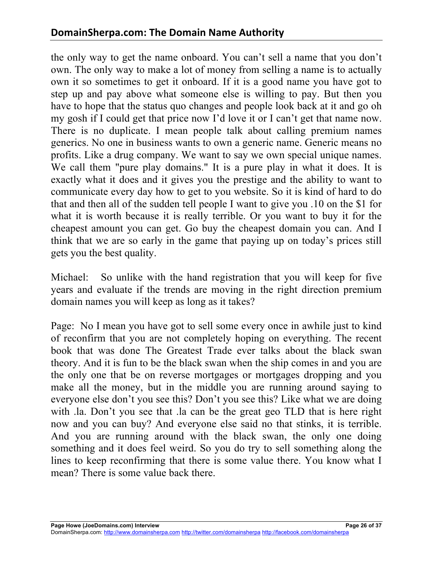the only way to get the name onboard. You can't sell a name that you don't own. The only way to make a lot of money from selling a name is to actually own it so sometimes to get it onboard. If it is a good name you have got to step up and pay above what someone else is willing to pay. But then you have to hope that the status quo changes and people look back at it and go oh my gosh if I could get that price now I'd love it or I can't get that name now. There is no duplicate. I mean people talk about calling premium names generics. No one in business wants to own a generic name. Generic means no profits. Like a drug company. We want to say we own special unique names. We call them "pure play domains." It is a pure play in what it does. It is exactly what it does and it gives you the prestige and the ability to want to communicate every day how to get to you website. So it is kind of hard to do that and then all of the sudden tell people I want to give you .10 on the \$1 for what it is worth because it is really terrible. Or you want to buy it for the cheapest amount you can get. Go buy the cheapest domain you can. And I think that we are so early in the game that paying up on today's prices still gets you the best quality.

Michael: So unlike with the hand registration that you will keep for five years and evaluate if the trends are moving in the right direction premium domain names you will keep as long as it takes?

Page: No I mean you have got to sell some every once in awhile just to kind of reconfirm that you are not completely hoping on everything. The recent book that was done The Greatest Trade ever talks about the black swan theory. And it is fun to be the black swan when the ship comes in and you are the only one that be on reverse mortgages or mortgages dropping and you make all the money, but in the middle you are running around saying to everyone else don't you see this? Don't you see this? Like what we are doing with .la. Don't you see that .la can be the great geo TLD that is here right now and you can buy? And everyone else said no that stinks, it is terrible. And you are running around with the black swan, the only one doing something and it does feel weird. So you do try to sell something along the lines to keep reconfirming that there is some value there. You know what I mean? There is some value back there.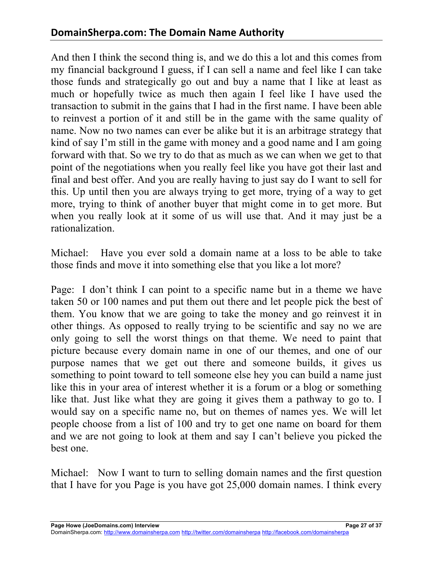And then I think the second thing is, and we do this a lot and this comes from my financial background I guess, if I can sell a name and feel like I can take those funds and strategically go out and buy a name that I like at least as much or hopefully twice as much then again I feel like I have used the transaction to submit in the gains that I had in the first name. I have been able to reinvest a portion of it and still be in the game with the same quality of name. Now no two names can ever be alike but it is an arbitrage strategy that kind of say I'm still in the game with money and a good name and I am going forward with that. So we try to do that as much as we can when we get to that point of the negotiations when you really feel like you have got their last and final and best offer. And you are really having to just say do I want to sell for this. Up until then you are always trying to get more, trying of a way to get more, trying to think of another buyer that might come in to get more. But when you really look at it some of us will use that. And it may just be a rationalization.

Michael: Have you ever sold a domain name at a loss to be able to take those finds and move it into something else that you like a lot more?

Page: I don't think I can point to a specific name but in a theme we have taken 50 or 100 names and put them out there and let people pick the best of them. You know that we are going to take the money and go reinvest it in other things. As opposed to really trying to be scientific and say no we are only going to sell the worst things on that theme. We need to paint that picture because every domain name in one of our themes, and one of our purpose names that we get out there and someone builds, it gives us something to point toward to tell someone else hey you can build a name just like this in your area of interest whether it is a forum or a blog or something like that. Just like what they are going it gives them a pathway to go to. I would say on a specific name no, but on themes of names yes. We will let people choose from a list of 100 and try to get one name on board for them and we are not going to look at them and say I can't believe you picked the best one.

Michael: Now I want to turn to selling domain names and the first question that I have for you Page is you have got 25,000 domain names. I think every

**Page Howe (JoeDomains.com) Interview Page 27 of 37**

DomainSherpa.com: http://www.domainsherpa.com http://twitter.com/domainsherpa http://facebook.com/domainsherpa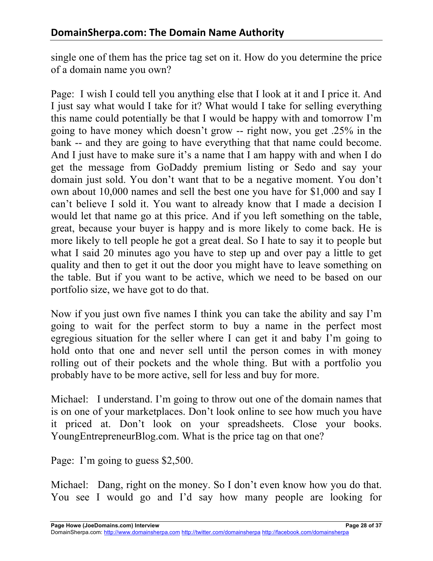single one of them has the price tag set on it. How do you determine the price of a domain name you own?

Page: I wish I could tell you anything else that I look at it and I price it. And I just say what would I take for it? What would I take for selling everything this name could potentially be that I would be happy with and tomorrow I'm going to have money which doesn't grow -- right now, you get .25% in the bank -- and they are going to have everything that that name could become. And I just have to make sure it's a name that I am happy with and when I do get the message from GoDaddy premium listing or Sedo and say your domain just sold. You don't want that to be a negative moment. You don't own about 10,000 names and sell the best one you have for \$1,000 and say I can't believe I sold it. You want to already know that I made a decision I would let that name go at this price. And if you left something on the table, great, because your buyer is happy and is more likely to come back. He is more likely to tell people he got a great deal. So I hate to say it to people but what I said 20 minutes ago you have to step up and over pay a little to get quality and then to get it out the door you might have to leave something on the table. But if you want to be active, which we need to be based on our portfolio size, we have got to do that.

Now if you just own five names I think you can take the ability and say I'm going to wait for the perfect storm to buy a name in the perfect most egregious situation for the seller where I can get it and baby I'm going to hold onto that one and never sell until the person comes in with money rolling out of their pockets and the whole thing. But with a portfolio you probably have to be more active, sell for less and buy for more.

Michael: I understand. I'm going to throw out one of the domain names that is on one of your marketplaces. Don't look online to see how much you have it priced at. Don't look on your spreadsheets. Close your books. YoungEntrepreneurBlog.com. What is the price tag on that one?

Page: I'm going to guess \$2,500.

Michael: Dang, right on the money. So I don't even know how you do that. You see I would go and I'd say how many people are looking for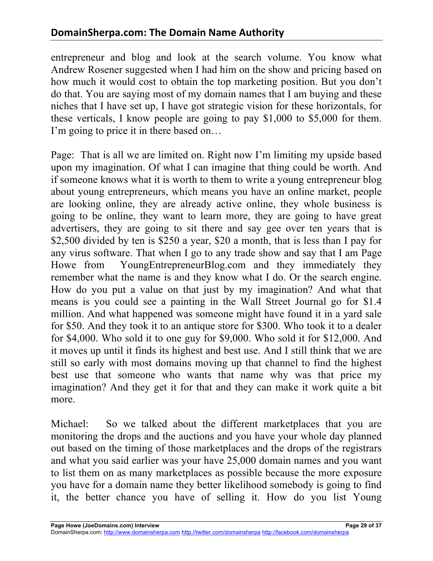entrepreneur and blog and look at the search volume. You know what Andrew Rosener suggested when I had him on the show and pricing based on how much it would cost to obtain the top marketing position. But you don't do that. You are saying most of my domain names that I am buying and these niches that I have set up, I have got strategic vision for these horizontals, for these verticals, I know people are going to pay \$1,000 to \$5,000 for them. I'm going to price it in there based on…

Page: That is all we are limited on. Right now I'm limiting my upside based upon my imagination. Of what I can imagine that thing could be worth. And if someone knows what it is worth to them to write a young entrepreneur blog about young entrepreneurs, which means you have an online market, people are looking online, they are already active online, they whole business is going to be online, they want to learn more, they are going to have great advertisers, they are going to sit there and say gee over ten years that is \$2,500 divided by ten is \$250 a year, \$20 a month, that is less than I pay for any virus software. That when I go to any trade show and say that I am Page Howe from YoungEntrepreneurBlog.com and they immediately they remember what the name is and they know what I do. Or the search engine. How do you put a value on that just by my imagination? And what that means is you could see a painting in the Wall Street Journal go for \$1.4 million. And what happened was someone might have found it in a yard sale for \$50. And they took it to an antique store for \$300. Who took it to a dealer for \$4,000. Who sold it to one guy for \$9,000. Who sold it for \$12,000. And it moves up until it finds its highest and best use. And I still think that we are still so early with most domains moving up that channel to find the highest best use that someone who wants that name why was that price my imagination? And they get it for that and they can make it work quite a bit more.

Michael: So we talked about the different marketplaces that you are monitoring the drops and the auctions and you have your whole day planned out based on the timing of those marketplaces and the drops of the registrars and what you said earlier was your have 25,000 domain names and you want to list them on as many marketplaces as possible because the more exposure you have for a domain name they better likelihood somebody is going to find it, the better chance you have of selling it. How do you list Young

DomainSherpa.com: http://www.domainsherpa.com http://twitter.com/domainsherpa http://facebook.com/domainsherpa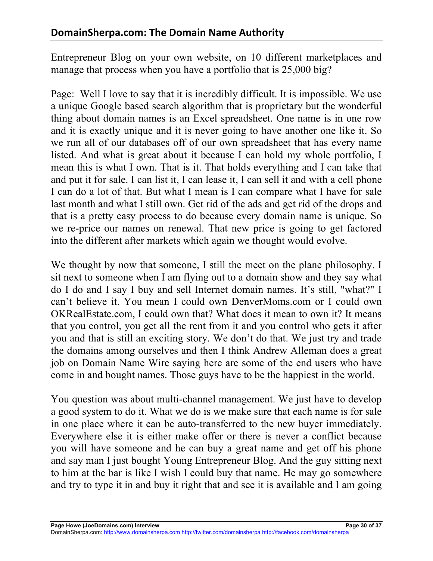Entrepreneur Blog on your own website, on 10 different marketplaces and manage that process when you have a portfolio that is 25,000 big?

Page: Well I love to say that it is incredibly difficult. It is impossible. We use a unique Google based search algorithm that is proprietary but the wonderful thing about domain names is an Excel spreadsheet. One name is in one row and it is exactly unique and it is never going to have another one like it. So we run all of our databases off of our own spreadsheet that has every name listed. And what is great about it because I can hold my whole portfolio, I mean this is what I own. That is it. That holds everything and I can take that and put it for sale. I can list it, I can lease it, I can sell it and with a cell phone I can do a lot of that. But what I mean is I can compare what I have for sale last month and what I still own. Get rid of the ads and get rid of the drops and that is a pretty easy process to do because every domain name is unique. So we re-price our names on renewal. That new price is going to get factored into the different after markets which again we thought would evolve.

We thought by now that someone. I still the meet on the plane philosophy. I sit next to someone when I am flying out to a domain show and they say what do I do and I say I buy and sell Internet domain names. It's still, "what?" I can't believe it. You mean I could own DenverMoms.com or I could own OKRealEstate.com, I could own that? What does it mean to own it? It means that you control, you get all the rent from it and you control who gets it after you and that is still an exciting story. We don't do that. We just try and trade the domains among ourselves and then I think Andrew Alleman does a great job on Domain Name Wire saying here are some of the end users who have come in and bought names. Those guys have to be the happiest in the world.

You question was about multi-channel management. We just have to develop a good system to do it. What we do is we make sure that each name is for sale in one place where it can be auto-transferred to the new buyer immediately. Everywhere else it is either make offer or there is never a conflict because you will have someone and he can buy a great name and get off his phone and say man I just bought Young Entrepreneur Blog. And the guy sitting next to him at the bar is like I wish I could buy that name. He may go somewhere and try to type it in and buy it right that and see it is available and I am going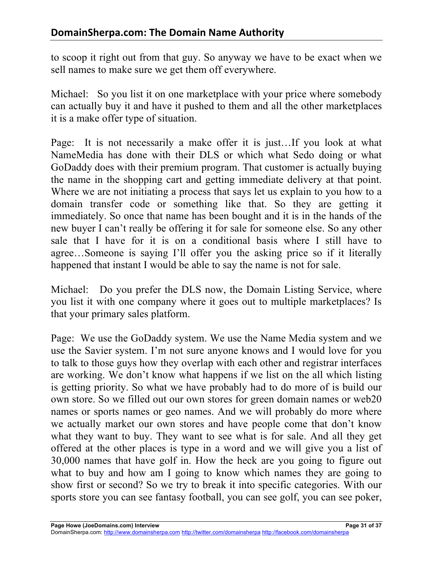to scoop it right out from that guy. So anyway we have to be exact when we sell names to make sure we get them off everywhere.

Michael: So you list it on one marketplace with your price where somebody can actually buy it and have it pushed to them and all the other marketplaces it is a make offer type of situation.

Page: It is not necessarily a make offer it is just…If you look at what NameMedia has done with their DLS or which what Sedo doing or what GoDaddy does with their premium program. That customer is actually buying the name in the shopping cart and getting immediate delivery at that point. Where we are not initiating a process that says let us explain to you how to a domain transfer code or something like that. So they are getting it immediately. So once that name has been bought and it is in the hands of the new buyer I can't really be offering it for sale for someone else. So any other sale that I have for it is on a conditional basis where I still have to agree…Someone is saying I'll offer you the asking price so if it literally happened that instant I would be able to say the name is not for sale.

Michael: Do you prefer the DLS now, the Domain Listing Service, where you list it with one company where it goes out to multiple marketplaces? Is that your primary sales platform.

Page: We use the GoDaddy system. We use the Name Media system and we use the Savier system. I'm not sure anyone knows and I would love for you to talk to those guys how they overlap with each other and registrar interfaces are working. We don't know what happens if we list on the all which listing is getting priority. So what we have probably had to do more of is build our own store. So we filled out our own stores for green domain names or web20 names or sports names or geo names. And we will probably do more where we actually market our own stores and have people come that don't know what they want to buy. They want to see what is for sale. And all they get offered at the other places is type in a word and we will give you a list of 30,000 names that have golf in. How the heck are you going to figure out what to buy and how am I going to know which names they are going to show first or second? So we try to break it into specific categories. With our sports store you can see fantasy football, you can see golf, you can see poker,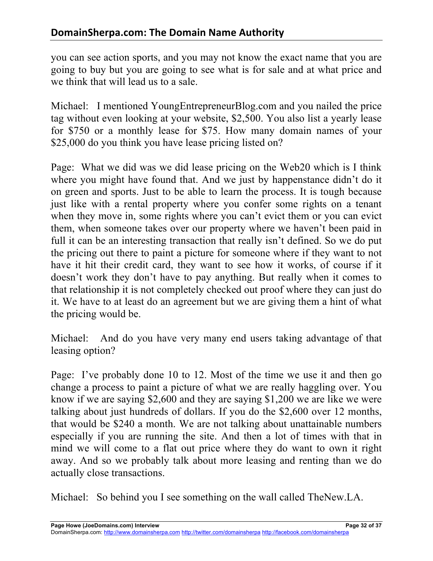you can see action sports, and you may not know the exact name that you are going to buy but you are going to see what is for sale and at what price and we think that will lead us to a sale.

Michael: I mentioned YoungEntrepreneurBlog.com and you nailed the price tag without even looking at your website, \$2,500. You also list a yearly lease for \$750 or a monthly lease for \$75. How many domain names of your \$25,000 do you think you have lease pricing listed on?

Page: What we did was we did lease pricing on the Web20 which is I think where you might have found that. And we just by happenstance didn't do it on green and sports. Just to be able to learn the process. It is tough because just like with a rental property where you confer some rights on a tenant when they move in, some rights where you can't evict them or you can evict them, when someone takes over our property where we haven't been paid in full it can be an interesting transaction that really isn't defined. So we do put the pricing out there to paint a picture for someone where if they want to not have it hit their credit card, they want to see how it works, of course if it doesn't work they don't have to pay anything. But really when it comes to that relationship it is not completely checked out proof where they can just do it. We have to at least do an agreement but we are giving them a hint of what the pricing would be.

Michael: And do you have very many end users taking advantage of that leasing option?

Page: I've probably done 10 to 12. Most of the time we use it and then go change a process to paint a picture of what we are really haggling over. You know if we are saying \$2,600 and they are saying \$1,200 we are like we were talking about just hundreds of dollars. If you do the \$2,600 over 12 months, that would be \$240 a month. We are not talking about unattainable numbers especially if you are running the site. And then a lot of times with that in mind we will come to a flat out price where they do want to own it right away. And so we probably talk about more leasing and renting than we do actually close transactions.

Michael: So behind you I see something on the wall called TheNew.LA.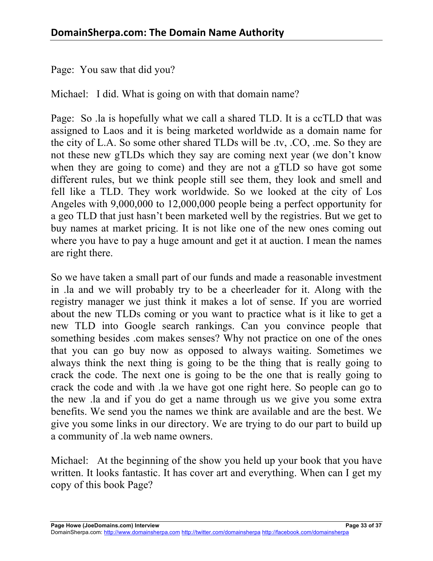Page: You saw that did you?

Michael: I did. What is going on with that domain name?

Page: So .la is hopefully what we call a shared TLD. It is a ccTLD that was assigned to Laos and it is being marketed worldwide as a domain name for the city of L.A. So some other shared TLDs will be .tv, .CO, .me. So they are not these new gTLDs which they say are coming next year (we don't know when they are going to come) and they are not a gTLD so have got some different rules, but we think people still see them, they look and smell and fell like a TLD. They work worldwide. So we looked at the city of Los Angeles with 9,000,000 to 12,000,000 people being a perfect opportunity for a geo TLD that just hasn't been marketed well by the registries. But we get to buy names at market pricing. It is not like one of the new ones coming out where you have to pay a huge amount and get it at auction. I mean the names are right there.

So we have taken a small part of our funds and made a reasonable investment in .la and we will probably try to be a cheerleader for it. Along with the registry manager we just think it makes a lot of sense. If you are worried about the new TLDs coming or you want to practice what is it like to get a new TLD into Google search rankings. Can you convince people that something besides .com makes senses? Why not practice on one of the ones that you can go buy now as opposed to always waiting. Sometimes we always think the next thing is going to be the thing that is really going to crack the code. The next one is going to be the one that is really going to crack the code and with .la we have got one right here. So people can go to the new .la and if you do get a name through us we give you some extra benefits. We send you the names we think are available and are the best. We give you some links in our directory. We are trying to do our part to build up a community of .la web name owners.

Michael: At the beginning of the show you held up your book that you have written. It looks fantastic. It has cover art and everything. When can I get my copy of this book Page?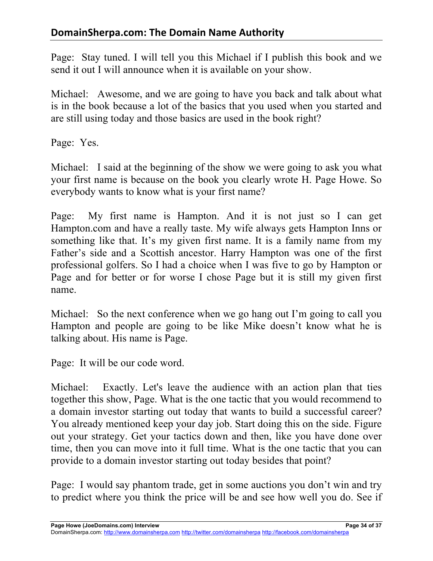Page: Stay tuned. I will tell you this Michael if I publish this book and we send it out I will announce when it is available on your show.

Michael: Awesome, and we are going to have you back and talk about what is in the book because a lot of the basics that you used when you started and are still using today and those basics are used in the book right?

Page: Yes.

Michael: I said at the beginning of the show we were going to ask you what your first name is because on the book you clearly wrote H. Page Howe. So everybody wants to know what is your first name?

Page: My first name is Hampton. And it is not just so I can get Hampton.com and have a really taste. My wife always gets Hampton Inns or something like that. It's my given first name. It is a family name from my Father's side and a Scottish ancestor. Harry Hampton was one of the first professional golfers. So I had a choice when I was five to go by Hampton or Page and for better or for worse I chose Page but it is still my given first name.

Michael: So the next conference when we go hang out I'm going to call you Hampton and people are going to be like Mike doesn't know what he is talking about. His name is Page.

Page: It will be our code word.

Michael: Exactly. Let's leave the audience with an action plan that ties together this show, Page. What is the one tactic that you would recommend to a domain investor starting out today that wants to build a successful career? You already mentioned keep your day job. Start doing this on the side. Figure out your strategy. Get your tactics down and then, like you have done over time, then you can move into it full time. What is the one tactic that you can provide to a domain investor starting out today besides that point?

Page: I would say phantom trade, get in some auctions you don't win and try to predict where you think the price will be and see how well you do. See if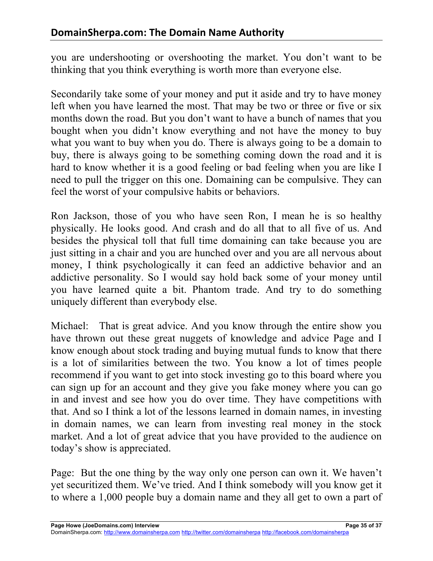you are undershooting or overshooting the market. You don't want to be thinking that you think everything is worth more than everyone else.

Secondarily take some of your money and put it aside and try to have money left when you have learned the most. That may be two or three or five or six months down the road. But you don't want to have a bunch of names that you bought when you didn't know everything and not have the money to buy what you want to buy when you do. There is always going to be a domain to buy, there is always going to be something coming down the road and it is hard to know whether it is a good feeling or bad feeling when you are like I need to pull the trigger on this one. Domaining can be compulsive. They can feel the worst of your compulsive habits or behaviors.

Ron Jackson, those of you who have seen Ron, I mean he is so healthy physically. He looks good. And crash and do all that to all five of us. And besides the physical toll that full time domaining can take because you are just sitting in a chair and you are hunched over and you are all nervous about money, I think psychologically it can feed an addictive behavior and an addictive personality. So I would say hold back some of your money until you have learned quite a bit. Phantom trade. And try to do something uniquely different than everybody else.

Michael: That is great advice. And you know through the entire show you have thrown out these great nuggets of knowledge and advice Page and I know enough about stock trading and buying mutual funds to know that there is a lot of similarities between the two. You know a lot of times people recommend if you want to get into stock investing go to this board where you can sign up for an account and they give you fake money where you can go in and invest and see how you do over time. They have competitions with that. And so I think a lot of the lessons learned in domain names, in investing in domain names, we can learn from investing real money in the stock market. And a lot of great advice that you have provided to the audience on today's show is appreciated.

Page: But the one thing by the way only one person can own it. We haven't yet securitized them. We've tried. And I think somebody will you know get it to where a 1,000 people buy a domain name and they all get to own a part of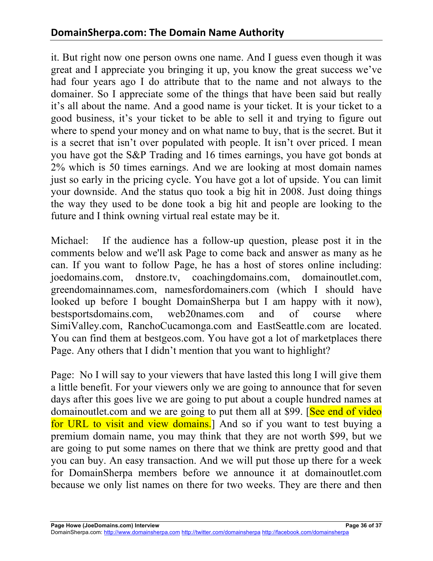it. But right now one person owns one name. And I guess even though it was great and I appreciate you bringing it up, you know the great success we've had four years ago I do attribute that to the name and not always to the domainer. So I appreciate some of the things that have been said but really it's all about the name. And a good name is your ticket. It is your ticket to a good business, it's your ticket to be able to sell it and trying to figure out where to spend your money and on what name to buy, that is the secret. But it is a secret that isn't over populated with people. It isn't over priced. I mean you have got the S&P Trading and 16 times earnings, you have got bonds at 2% which is 50 times earnings. And we are looking at most domain names just so early in the pricing cycle. You have got a lot of upside. You can limit your downside. And the status quo took a big hit in 2008. Just doing things the way they used to be done took a big hit and people are looking to the future and I think owning virtual real estate may be it.

Michael: If the audience has a follow-up question, please post it in the comments below and we'll ask Page to come back and answer as many as he can. If you want to follow Page, he has a host of stores online including: joedomains.com, dnstore.tv, coachingdomains.com, domainoutlet.com, greendomainnames.com, namesfordomainers.com (which I should have looked up before I bought DomainSherpa but I am happy with it now), bestsportsdomains.com, web20names.com and of course where SimiValley.com, RanchoCucamonga.com and EastSeattle.com are located. You can find them at bestgeos.com. You have got a lot of marketplaces there Page. Any others that I didn't mention that you want to highlight?

Page: No I will say to your viewers that have lasted this long I will give them a little benefit. For your viewers only we are going to announce that for seven days after this goes live we are going to put about a couple hundred names at domainoutlet.com and we are going to put them all at \$99. [See end of video] for URL to visit and view domains. And so if you want to test buying a premium domain name, you may think that they are not worth \$99, but we are going to put some names on there that we think are pretty good and that you can buy. An easy transaction. And we will put those up there for a week for DomainSherpa members before we announce it at domainoutlet.com because we only list names on there for two weeks. They are there and then

DomainSherpa.com: http://www.domainsherpa.com http://twitter.com/domainsherpa http://facebook.com/domainsherpa